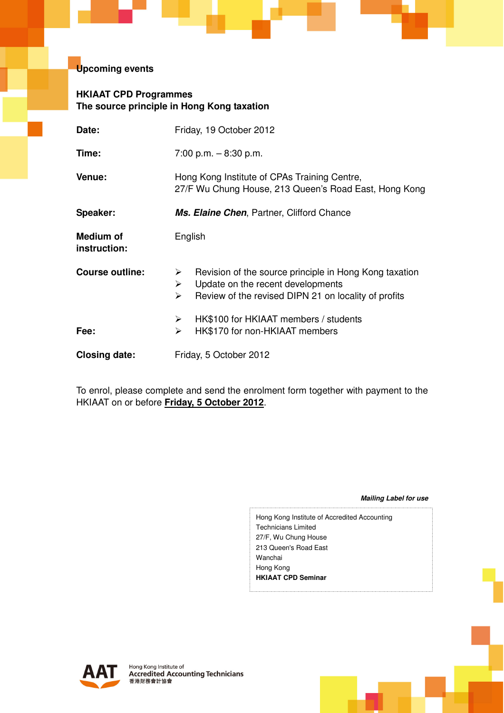## **Upcoming events**

## **HKIAAT CPD Programmes The source principle in Hong Kong taxation**

| Date:                            | Friday, 19 October 2012                                                                                                                                                                |  |  |  |
|----------------------------------|----------------------------------------------------------------------------------------------------------------------------------------------------------------------------------------|--|--|--|
| Time:                            | 7:00 p.m. $-8:30$ p.m.                                                                                                                                                                 |  |  |  |
| Venue:                           | Hong Kong Institute of CPAs Training Centre,<br>27/F Wu Chung House, 213 Queen's Road East, Hong Kong                                                                                  |  |  |  |
| Speaker:                         | Ms. Elaine Chen, Partner, Clifford Chance                                                                                                                                              |  |  |  |
| <b>Medium of</b><br>instruction: | English                                                                                                                                                                                |  |  |  |
| Course outline:                  | Revision of the source principle in Hong Kong taxation<br>➤<br>$\blacktriangleright$<br>Update on the recent developments<br>Review of the revised DIPN 21 on locality of profits<br>≻ |  |  |  |
| Fee:                             | HK\$100 for HKIAAT members / students<br>➤<br>HK\$170 for non-HKIAAT members<br>≻                                                                                                      |  |  |  |
| <b>Closing date:</b>             | Friday, 5 October 2012                                                                                                                                                                 |  |  |  |

To enrol, please complete and send the enrolment form together with payment to the HKIAAT on or before **Friday, 5 October 2012**.

**Mailing Label for use** 

Hong Kong Institute of Accredited Accounting Technicians Limited 27/F, Wu Chung House 213 Queen's Road East Wanchai Hong Kong **HKIAAT CPD Seminar**